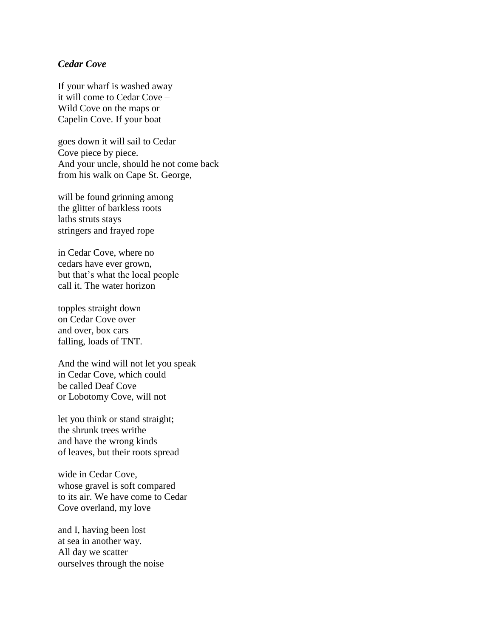## *Cedar Cove*

If your wharf is washed away it will come to Cedar Cove – Wild Cove on the maps or Capelin Cove. If your boat

goes down it will sail to Cedar Cove piece by piece. And your uncle, should he not come back from his walk on Cape St. George,

will be found grinning among the glitter of barkless roots laths struts stays stringers and frayed rope

in Cedar Cove, where no cedars have ever grown, but that's what the local people call it. The water horizon

topples straight down on Cedar Cove over and over, box cars falling, loads of TNT.

And the wind will not let you speak in Cedar Cove, which could be called Deaf Cove or Lobotomy Cove, will not

let you think or stand straight; the shrunk trees writhe and have the wrong kinds of leaves, but their roots spread

wide in Cedar Cove, whose gravel is soft compared to its air. We have come to Cedar Cove overland, my love

and I, having been lost at sea in another way. All day we scatter ourselves through the noise